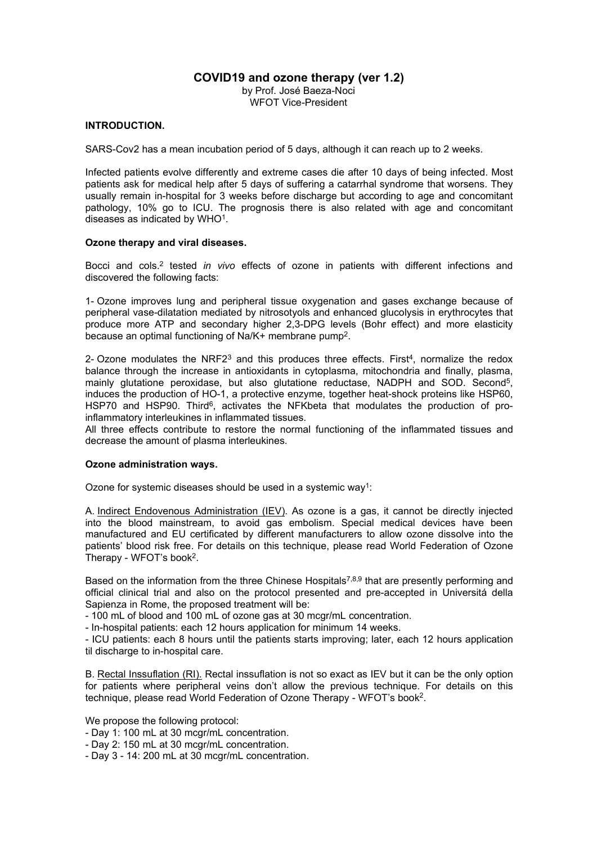# **COVID19 and ozone therapy (ver 1.2)**

by Prof. José Baeza-Noci WFOT Vice-President

## **INTRODUCTION.**

SARS-Cov2 has a mean incubation period of 5 days, although it can reach up to 2 weeks.

Infected patients evolve differently and extreme cases die after 10 days of being infected. Most patients ask for medical help after 5 days of suffering a catarrhal syndrome that worsens. They usually remain in-hospital for 3 weeks before discharge but according to age and concomitant pathology, 10% go to ICU. The prognosis there is also related with age and concomitant diseases as indicated by WHO[1](#page-2-0).

#### **Ozone therapy and viral diseases.**

Bocci and cols.[2](#page-2-1) tested *in vivo* effects of ozone in patients with different infections and discovered the following facts:

1- Ozone improves lung and peripheral tissue oxygenation and gases exchange because of peripheral vase-dilatation mediated by nitrosotyols and enhanced glucolysis in erythrocytes that produce more ATP and secondary higher 2,3-DPG levels (Bohr effect) and more elasticity because an optimal functioning of Na/K+ membrane pump <sup>2</sup>.

2- Ozone modulates the NRF2<sup>[3](#page-2-2)</sup> and this produces three effects. First<sup>[4](#page-2-3)</sup>, normalize the redox balance through the increase in antioxidants in cytoplasma, mitochondria and finally, plasma, mainly glutatione peroxidase, but also glutatione reductase, NADPH and SOD. Second [5](#page-2-4), induces the production of HO-1, a protective enzyme, together heat-shock proteins like HSP60, HSP70 and HSP90. Third<sup>[6](#page-2-5)</sup>, activates the NFKbeta that modulates the production of proinflammatory interleukines in inflammated tissues.

All three effects contribute to restore the normal functioning of the inflammated tissues and decrease the amount of plasma interleukines.

#### **Ozone administration ways.**

Ozone for systemic diseases should be used in a systemic way <sup>1</sup>:

A. Indirect Endovenous Administration (IEV). As ozone is a gas, itcannot be directly injected into the blood mainstream, to avoid gas embolism. Special medical devices have been manufactured and EU certificated by different manufacturers to allow ozonedissolve into the patients' blood risk free. For details on this technique, please read World Federation of Ozone Therapy - WFOT's book <sup>2</sup>.

Based on the information from the three Chinese Hospitals<sup>[7,](#page-2-6)[8](#page-2-7)[,9](#page-2-8)</sup> that are presently performing and official clinical trial and also on the protocol presented and pre-accepted in Universitá della Sapienza in Rome, the proposed treatment will be:

- 100 mL of blood and 100 mL of ozone gas at 30 mcgr/mL concentration.

- In-hospital patients: each 12 hours application for minimum 14 weeks.

- ICU patients: each 8 hours until the patients starts improving; later, each 12 hours application til discharge to in-hospital care.

B. Rectal Inssuflation (RI). Rectal inssuflation is not so exact as IEV but it can be the only option for patients where peripheral veins don't allow the previous technique. For details on this technique, please read World Federation of Ozone Therapy - WFOT's book <sup>2</sup>.

We propose the following protocol:

- Day 1: 100 mL at 30 mcgr/mL concentration.
- Day 2: 150 mL at 30 mcgr/mL concentration.
- Day 3 14: 200 mL at 30 mcgr/mL concentration.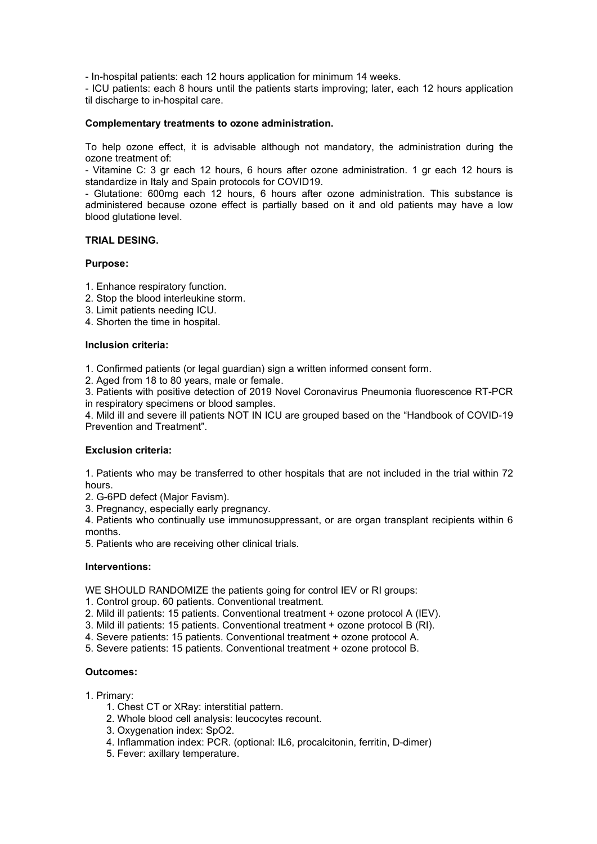- In-hospital patients: each 12 hours application for minimum 14 weeks.

- ICU patients: each 8 hours until the patients starts improving; later, each 12 hours application til discharge to in-hospital care.

#### **Complementary treatments to ozone administration.**

To help ozone effect, it is advisable although not mandatory, the administration during the ozone treatment of:

- Vitamine C: 3 gr each 12 hours, 6 hours after ozone administration. 1 gr each 12 hours is standardize in Italy and Spain protocols for COVID19.

- Glutatione: 600mg each 12 hours, 6 hours after ozone administration. This substance is administered because ozone effect is partially based on it and old patients may have a low blood glutatione level.

## **TRIAL DESING.**

#### **Purpose:**

- 1. Enhance respiratory function.
- 2. Stop the blood interleukine storm.
- 3. Limit patients needing ICU.
- 4. Shorten the time in hospital.

#### **Inclusion criteria:**

1. Confirmed patients (or legal guardian) sign a written informed consent form.

2. Aged from 18 to 80 years, male or female.

3. Patients with positive detection of 2019 Novel Coronavirus Pneumonia fluorescence RT-PCR in respiratory specimens or blood samples.

4. Mild ill and severe ill patients NOT IN ICU are grouped based on the "Handbook of COVID-19 Prevention and Treatment".

#### **Exclusion criteria:**

1. Patients who may be transferred to other hospitals that are not included in the trial within 72 hours.

- 2. G-6PD defect (Major Favism).
- 3. Pregnancy, especially early pregnancy.

4. Patients who continually use immunosuppressant, or are organ transplant recipients within 6 months.

5. Patients who are receiving other clinical trials.

#### **Interventions:**

WE SHOULD RANDOMIZE the patients going for control IEV or RI groups:

- 1. Control group. 60 patients. Conventional treatment.
- 2. Mild ill patients: 15 patients. Conventional treatment + ozone protocolA (IEV).
- 3. Mild ill patients: 15 patients. Conventional treatment + ozone protocol B (RI).
- 4. Severe patients: 15 patients. Conventional treatment + ozone protocolA.
- 5. Severe patients: 15 patients. Conventional treatment + ozone protocolB.

#### **Outcomes:**

- 1. Primary:
	- 1. Chest CT or XRay: interstitial pattern.
	- 2. Whole blood cell analysis: leucocytes recount.
	- 3. Oxygenation index: SpO2.
	- 4. Inflammation index: PCR. (optional: IL6, procalcitonin, ferritin, D-dimer)
	- 5. Fever: axillary temperature.